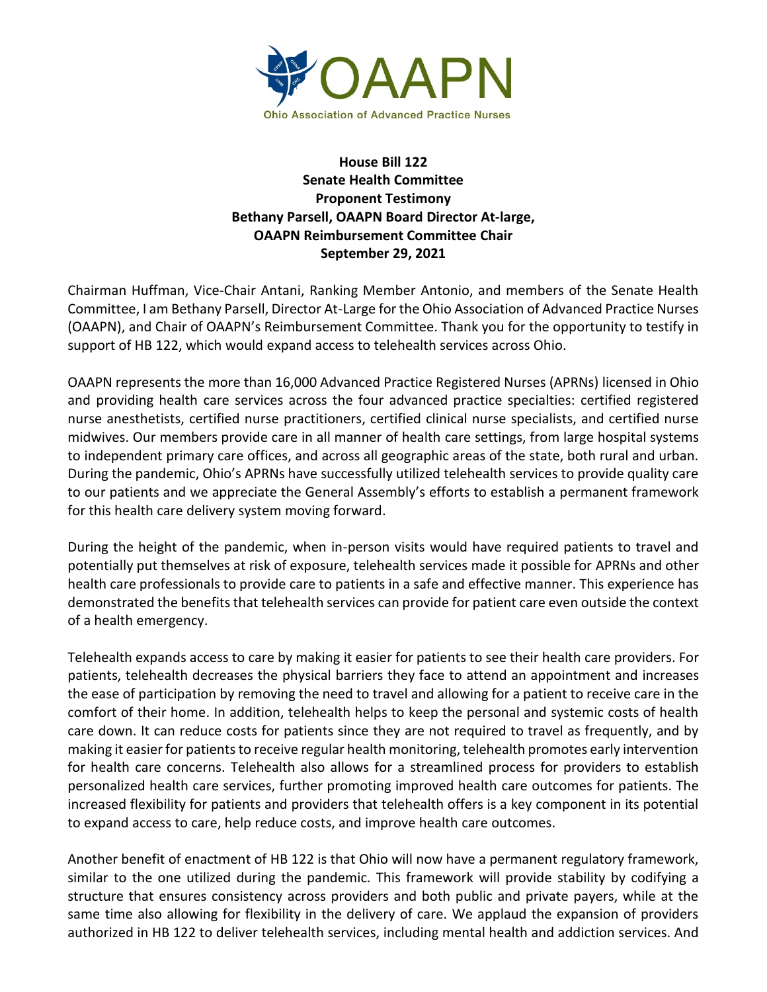

**House Bill 122 Senate Health Committee Proponent Testimony Bethany Parsell, OAAPN Board Director At-large, OAAPN Reimbursement Committee Chair September 29, 2021**

Chairman Huffman, Vice-Chair Antani, Ranking Member Antonio, and members of the Senate Health Committee, I am Bethany Parsell, Director At-Large for the Ohio Association of Advanced Practice Nurses (OAAPN), and Chair of OAAPN's Reimbursement Committee. Thank you for the opportunity to testify in support of HB 122, which would expand access to telehealth services across Ohio.

OAAPN represents the more than 16,000 Advanced Practice Registered Nurses (APRNs) licensed in Ohio and providing health care services across the four advanced practice specialties: certified registered nurse anesthetists, certified nurse practitioners, certified clinical nurse specialists, and certified nurse midwives. Our members provide care in all manner of health care settings, from large hospital systems to independent primary care offices, and across all geographic areas of the state, both rural and urban. During the pandemic, Ohio's APRNs have successfully utilized telehealth services to provide quality care to our patients and we appreciate the General Assembly's efforts to establish a permanent framework for this health care delivery system moving forward.

During the height of the pandemic, when in-person visits would have required patients to travel and potentially put themselves at risk of exposure, telehealth services made it possible for APRNs and other health care professionals to provide care to patients in a safe and effective manner. This experience has demonstrated the benefits that telehealth services can provide for patient care even outside the context of a health emergency.

Telehealth expands access to care by making it easier for patients to see their health care providers. For patients, telehealth decreases the physical barriers they face to attend an appointment and increases the ease of participation by removing the need to travel and allowing for a patient to receive care in the comfort of their home. In addition, telehealth helps to keep the personal and systemic costs of health care down. It can reduce costs for patients since they are not required to travel as frequently, and by making it easier for patients to receive regular health monitoring, telehealth promotes early intervention for health care concerns. Telehealth also allows for a streamlined process for providers to establish personalized health care services, further promoting improved health care outcomes for patients. The increased flexibility for patients and providers that telehealth offers is a key component in its potential to expand access to care, help reduce costs, and improve health care outcomes.

Another benefit of enactment of HB 122 is that Ohio will now have a permanent regulatory framework, similar to the one utilized during the pandemic. This framework will provide stability by codifying a structure that ensures consistency across providers and both public and private payers, while at the same time also allowing for flexibility in the delivery of care. We applaud the expansion of providers authorized in HB 122 to deliver telehealth services, including mental health and addiction services. And